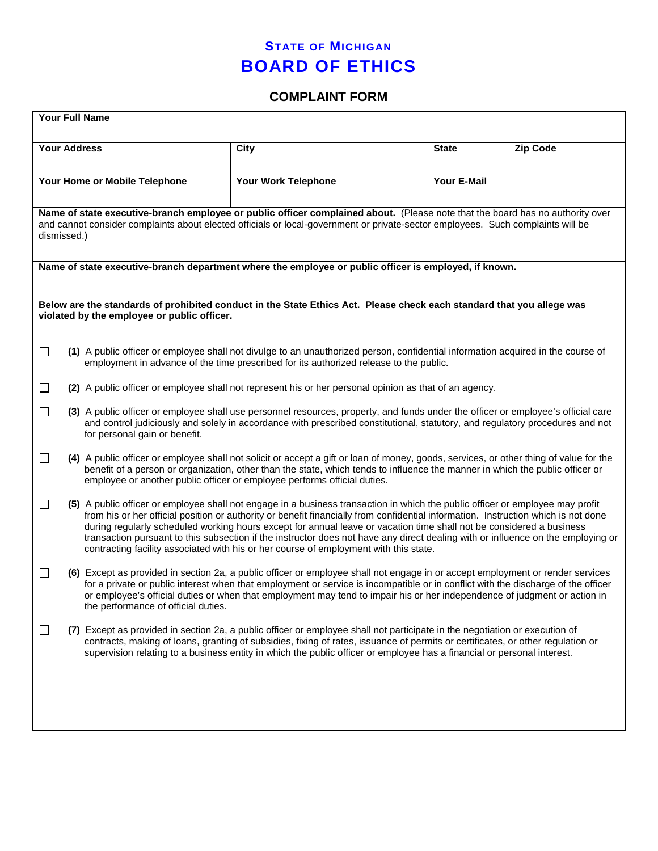## **STATE OF MICHIGAN BOARD OF ETHICS**

## **COMPLAINT FORM**

| <b>Your Full Name</b>                                                                                                                                                                                                                                                           |                                                                                                                                                                                                                                                                                                                                                                                                                                                                                                                                                                                                                           |                     |                    |                 |  |  |  |
|---------------------------------------------------------------------------------------------------------------------------------------------------------------------------------------------------------------------------------------------------------------------------------|---------------------------------------------------------------------------------------------------------------------------------------------------------------------------------------------------------------------------------------------------------------------------------------------------------------------------------------------------------------------------------------------------------------------------------------------------------------------------------------------------------------------------------------------------------------------------------------------------------------------------|---------------------|--------------------|-----------------|--|--|--|
|                                                                                                                                                                                                                                                                                 | <b>Your Address</b>                                                                                                                                                                                                                                                                                                                                                                                                                                                                                                                                                                                                       | <b>City</b>         | <b>State</b>       | <b>Zip Code</b> |  |  |  |
| Your Home or Mobile Telephone                                                                                                                                                                                                                                                   |                                                                                                                                                                                                                                                                                                                                                                                                                                                                                                                                                                                                                           | Your Work Telephone | <b>Your E-Mail</b> |                 |  |  |  |
| Name of state executive-branch employee or public officer complained about. (Please note that the board has no authority over<br>and cannot consider complaints about elected officials or local-government or private-sector employees. Such complaints will be<br>dismissed.) |                                                                                                                                                                                                                                                                                                                                                                                                                                                                                                                                                                                                                           |                     |                    |                 |  |  |  |
| Name of state executive-branch department where the employee or public officer is employed, if known.                                                                                                                                                                           |                                                                                                                                                                                                                                                                                                                                                                                                                                                                                                                                                                                                                           |                     |                    |                 |  |  |  |
| Below are the standards of prohibited conduct in the State Ethics Act. Please check each standard that you allege was<br>violated by the employee or public officer.                                                                                                            |                                                                                                                                                                                                                                                                                                                                                                                                                                                                                                                                                                                                                           |                     |                    |                 |  |  |  |
| $\Box$                                                                                                                                                                                                                                                                          | (1) A public officer or employee shall not divulge to an unauthorized person, confidential information acquired in the course of<br>employment in advance of the time prescribed for its authorized release to the public.                                                                                                                                                                                                                                                                                                                                                                                                |                     |                    |                 |  |  |  |
| (2) A public officer or employee shall not represent his or her personal opinion as that of an agency.<br>$\Box$                                                                                                                                                                |                                                                                                                                                                                                                                                                                                                                                                                                                                                                                                                                                                                                                           |                     |                    |                 |  |  |  |
| $\Box$                                                                                                                                                                                                                                                                          | (3) A public officer or employee shall use personnel resources, property, and funds under the officer or employee's official care<br>and control judiciously and solely in accordance with prescribed constitutional, statutory, and regulatory procedures and not<br>for personal gain or benefit.                                                                                                                                                                                                                                                                                                                       |                     |                    |                 |  |  |  |
| $\Box$                                                                                                                                                                                                                                                                          | (4) A public officer or employee shall not solicit or accept a gift or loan of money, goods, services, or other thing of value for the<br>benefit of a person or organization, other than the state, which tends to influence the manner in which the public officer or<br>employee or another public officer or employee performs official duties.                                                                                                                                                                                                                                                                       |                     |                    |                 |  |  |  |
| □                                                                                                                                                                                                                                                                               | (5) A public officer or employee shall not engage in a business transaction in which the public officer or employee may profit<br>from his or her official position or authority or benefit financially from confidential information. Instruction which is not done<br>during regularly scheduled working hours except for annual leave or vacation time shall not be considered a business<br>transaction pursuant to this subsection if the instructor does not have any direct dealing with or influence on the employing or<br>contracting facility associated with his or her course of employment with this state. |                     |                    |                 |  |  |  |
| $\Box$                                                                                                                                                                                                                                                                          | (6) Except as provided in section 2a, a public officer or employee shall not engage in or accept employment or render services<br>for a private or public interest when that employment or service is incompatible or in conflict with the discharge of the officer<br>or employee's official duties or when that employment may tend to impair his or her independence of judgment or action in<br>the performance of official duties.                                                                                                                                                                                   |                     |                    |                 |  |  |  |
| $\Box$                                                                                                                                                                                                                                                                          | Except as provided in section 2a, a public officer or employee shall not participate in the negotiation or execution of<br>contracts, making of loans, granting of subsidies, fixing of rates, issuance of permits or certificates, or other regulation or<br>supervision relating to a business entity in which the public officer or employee has a financial or personal interest.                                                                                                                                                                                                                                     |                     |                    |                 |  |  |  |
|                                                                                                                                                                                                                                                                                 |                                                                                                                                                                                                                                                                                                                                                                                                                                                                                                                                                                                                                           |                     |                    |                 |  |  |  |